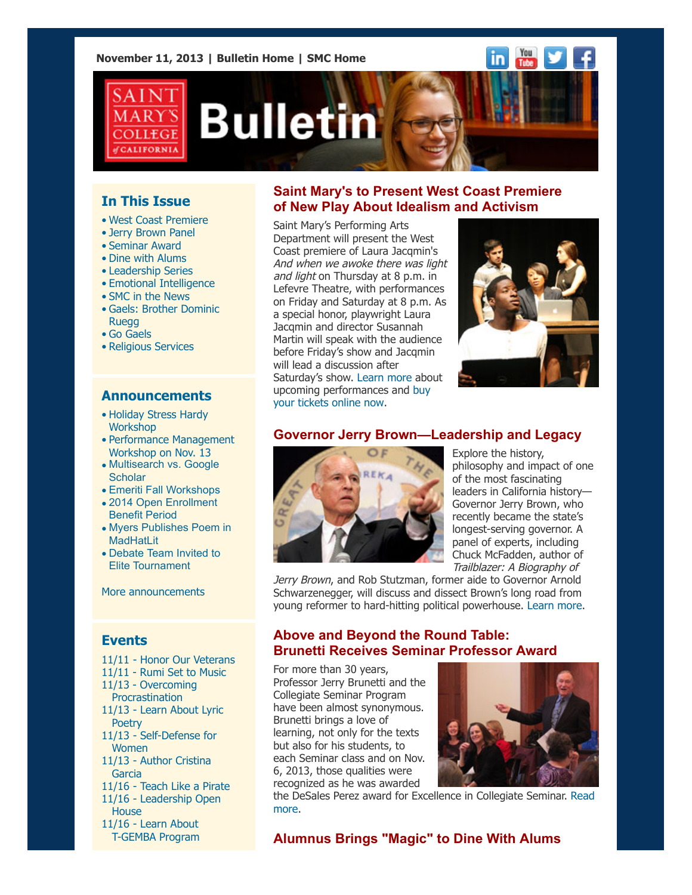**November 11, 2013 | [Bulletin Home](http://www.stmarys-ca.edu/smc-bulletin?utm_source=Bulletin&utm_medium=email&utm_campaign=11-11-2013) | [SMC Home](http://www.stmarys-ca.edu/?utm_source=Bulletin&utm_medium=email&utm_campaign=11-11-2013)**



# **Bulletin**

# **In This Issue**

- [•](file:///Users/smallalieu/Desktop/test.html#09_30_13_studentslearn) West Coast Premiere
- Jerry Brown Panel
- Seminar Award
- Dine with Alums
- Leadership Series
- Emotional Intelligence
- SMC in the News
- Gaels: Brother Dominic **Ruegg**
- Go Gaels
- Religious Services

## **Announcements**

- [•](file:///Users/smallalieu/Desktop/test.html#09_30_13_studentslearn) [Holiday Stress Hardy](http://www.stmarys-ca.edu/holiday-stress-hardy-1-hour-workshop?utm_source=Bulletin&utm_medium=email&utm_campaign=11-11-2013)  **Workshop**
- [Performance Management](http://www.stmarys-ca.edu/nov-13-performance-management-workshop?utm_source=Bulletin&utm_medium=email&utm_campaign=11-11-2013) Workshop on Nov. 13
- [Multisearch vs. Google](http://www.stmarys-ca.edu/multisearch-vs-google-scholar?utm_source=Bulletin&utm_medium=email&utm_campaign=11-11-2013) **Scholar**
- [Emeriti Fall Workshops](http://www.stmarys-ca.edu/emeriti-fall-workshop-invitation?utm_source=Bulletin&utm_medium=email&utm_campaign=11-11-2013)
- [2014 Open Enrollment](http://www.stmarys-ca.edu/2014-open-enrollment-benefit-period?utm_source=Bulletin&utm_medium=email&utm_campaign=11-11-2013)
- Benefit Period • [Myers Publishes Poem in](http://www.stmarys-ca.edu/myers-publishes-poem-in-madhatlit?utm_source=Bulletin&utm_medium=email&utm_campaign=11-11-2013)
- MadHatLit • [Debate Team Invited to](http://www.stmarys-ca.edu/smc-debate-team-invited-to-elite-tournament?utm_source=Bulletin&utm_medium=email&utm_campaign=11-11-2013)
- Elite Tournament

[More announcements](http://www.stmarys-ca.edu/smc-bulletin/announcements?utm_source=Bulletin&utm_medium=email&utm_campaign=11-11-2013)

#### **Events**

11/11 - [Honor Our Veterans](http://www.stmarys-ca.edu/caps-will-be-honoring-our-veterans?utm_source=Bulletin&utm_medium=email&utm_campaign=11-11-2013) 11/11 - [Rumi Set to Music](http://www.stmarys-ca.edu/rumis-poems-set-to-music?utm_source=Bulletin&utm_medium=email&utm_campaign=11-11-2013) 11/13 - Overcoming **Procrastination** [11/13 - Learn About Lyric](http://www.stmarys-ca.edu/afternoon-craft-conversation-series-with-lynn-xu?utm_source=Bulletin&utm_medium=email&utm_campaign=11-11-2013) **Poetry** [11/13 - Self-Defense for](http://www.stmarys-ca.edu/womens-self-defense-workshop-0?utm_source=Bulletin&utm_medium=email&utm_campaign=11-11-2013) **Women** [11/13 - Author Cristina](http://www.stmarys-ca.edu/creative-writing-reading-series-with-cristina-garcia?utm_source=Bulletin&utm_medium=email&utm_campaign=11-11-2013) Garcia 11/16 - [Teach Like a Pirate](http://www.stmarys-ca.edu/saturday-seminars-distinguished-speaker-series-1?utm_source=Bulletin&utm_medium=email&utm_campaign=11-11-2013) [11/16 - Leadership Open](http://www.stmarys-ca.edu/leadership-studies-open-house-18?utm_source=Bulletin&utm_medium=email&utm_campaign=11-11-2013) **House** 11/16 - Learn About  [T-GEMBA Program](http://www.stmarys-ca.edu/trans-global-emba-participant-for-a-day-17?utm_source=Bulletin&utm_medium=email&utm_campaign=11-11-2013)

# **Saint Mary's to Present West Coast Premiere of New Play About Idealism and Activism**

Saint Mary's Performing Arts Department will present the West Coast premiere of Laura Jacqmin's And when we awoke there was light and light on Thursday at 8 p.m. in Lefevre Theatre, with performances on Friday and Saturday at 8 p.m. As a special honor, playwright Laura Jacqmin and director Susannah Martin will speak with the audience before Friday's show and Jacqmin will lead a discussion after Saturday's show. [Learn more](http://www.stmarys-ca.edu/theatre-production-and-when-we-awoke-there-was-light-and-light-0?utm_source=Bulletin&utm_medium=email&utm_campaign=11-11-2013) about [upcoming performances and buy](http://www.brownpapertickets.com/event/467611) your tickets online now.



# **Governor Jerry Brown—Leadership and Legacy**



Explore the history, philosophy and impact of one of the most fascinating leaders in California history— Governor Jerry Brown, who recently became the state's longest-serving governor. A panel of experts, including Chuck McFadden, author of Trailblazer: A Biography of

Jerry Brown, and Rob Stutzman, former aide to Governor Arnold Schwarzenegger, will discuss and dissect Brown's long road from young reformer to hard-hitting political powerhouse. [Learn more.](http://www.stmarys-ca.edu/governor-jerry-brown-leadership-legacy?utm_source=Bulletin&utm_medium=email&utm_campaign=11-11-13)

## **Above and Beyond the Round Table: Brunetti Receives Seminar Professor Award**

For more than 30 years, Professor Jerry Brunetti and the Collegiate Seminar Program have been almost synonymous. Brunetti brings a love of learning, not only for the texts but also for his students, to each Seminar class and on Nov. 6, 2013, those qualities were recognized as he was awarded



[the DeSales Perez award for Excellence in Collegiate Seminar. Read](http://www.stmarys-ca.edu/above-and-beyond-the-round-table-professor-jerry-brunetti-receives-prestigious-seminar-professor?utm_source=Bulletin&utm_medium=email&utm_campaign=10-17-13) more.

**Alumnus Brings "Magic" to Dine With Alums**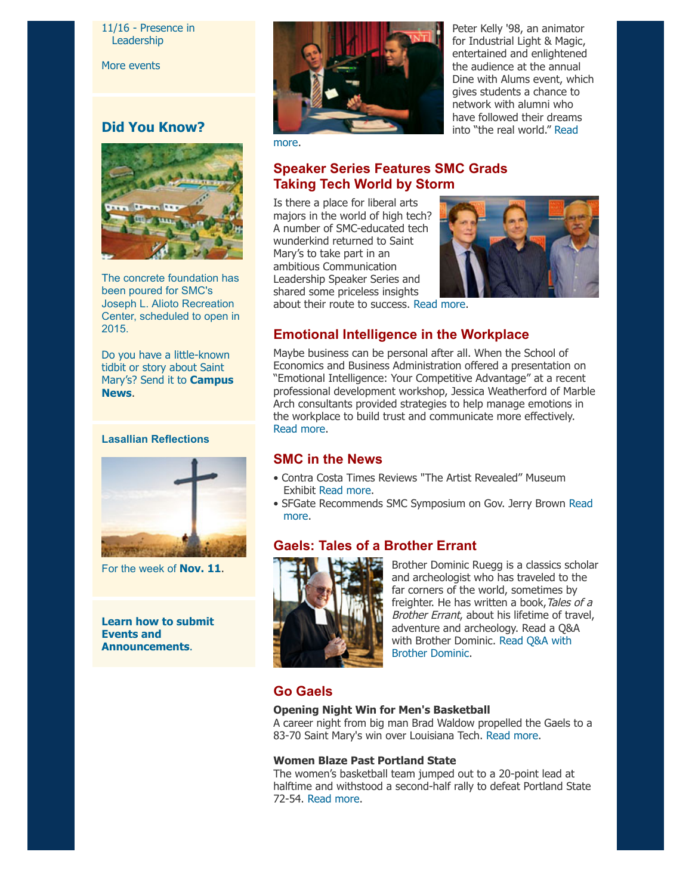#### [11/16 - Presence in](http://www.stmarys-ca.edu/presence-in-leadership-embodying-the-interplay-of-inner-and-outer-change?utm_source=Bulletin&utm_medium=email&utm_campaign=11-11-2013) Leadership

[More events](http://www.stmarys-ca.edu/calendar/63?utm_source=Bulletin&utm_medium=email&utm_campaign=11-11-2013)

# **Did You Know?**



The concrete foundation has been poured for SMC's Joseph L. Alioto Recreation Center, scheduled to open in 2015.

Do you have a little-known tidbit or story about Saint [Mary's? Send it to](mailto:news@stmarys-ca.edu) **Campus News**.

#### **Lasallian Reflections**



For the week of **[Nov. 11](http://www.stmarys-ca.edu/living-lasallian/lasallian-reflections?utm_source=Bulletin&utm_medium=email&utm_campaign=11-11-2013)**.

**[Learn how to submit](http://www.stmarys-ca.edu/smc-bulletin/faqs?utm_source=Bulletin&utm_medium=email&utm_campaign=11-11-2013) Events and Announcements**.



Peter Kelly '98, an animator for Industrial Light & Magic, entertained and enlightened the audience at the annual Dine with Alums event, which gives students a chance to network with alumni who have followed their dreams [into "the real world." Read](http://www.stmarys-ca.edu/peter-kelly-brings-magic-to-smc-dine-with-alums-event?utm_source=Bulletin&utm_medium=email&utm_campaign=11-11-2013)

more.

# **Speaker Series Features SMC Grads Taking Tech World by Storm**

Is there a place for liberal arts majors in the world of high tech? A number of SMC-educated tech wunderkind returned to Saint Mary's to take part in an ambitious Communication Leadership Speaker Series and shared some priceless insights



about their route to success. [Read more.](http://www.stmarys-ca.edu/speaker-series-features-smc-grads-taking-the-tech-world-by-storm?utm_source=Bulletin&utm_medium=email&utm_campaign=11-11-13)

## **Emotional Intelligence in the Workplace**

Maybe business can be personal after all. When the School of Economics and Business Administration offered a presentation on "Emotional Intelligence: Your Competitive Advantage" at a recent professional development workshop, Jessica Weatherford of Marble Arch consultants provided strategies to help manage emotions in the workplace to build trust and communicate more effectively. [Read more.](http://www.stmarys-ca.edu/understanding-empathy-workshop-teaches-value-of-understanding-emotions-in-business?utm_source=Bulletin&utm_medium=email&utm_campaign=11-11-13)

## **SMC in the News**

- Contra Costa Times Reviews "The Artist Revealed" Museum Exhibit [Read more](http://www.mercurynews.com/entertainment/ci_24467601/portraits-and-self-portraits-various-media-moraga-gallery).
- [SFGate Recommends SMC Symposium on Gov. Jerry Brown Read](http://www.stmarys-ca.edu/sfgate-recommends-smcs-symposium-on-gov-jerry-brown?utm_source=Bulletin&utm_medium=email&utm_campaign=11-11-13) more.

# **Gaels: Tales of a Brother Errant**



Brother Dominic Ruegg is a classics scholar and archeologist who has traveled to the far corners of the world, sometimes by freighter. He has written a book, Tales of a Brother Errant, about his lifetime of travel, adventure and archeology. Read a Q&A [with Brother Dominic. Read Q&A with](http://www.stmarys-ca.edu/tales-of-a-brother-errant?utm_source=Bulletin&utm_medium=email&utm_campaign=09-24-2013) Brother Dominic.

# **Go Gaels**

#### **Opening Night Win for Men's Basketball**

A career night from big man Brad Waldow propelled the Gaels to a 83-70 Saint Mary's win over Louisiana Tech. [Read more](http://www.smcgaels.com/ViewArticle.dbml?DB_LANG=C&DB_OEM_ID=21400&ATCLID=209303008).

#### **Women Blaze Past Portland State**

The women's basketball team jumped out to a 20-point lead at halftime and withstood a second-half rally to defeat Portland State 72-54. [Read more.](http://www.smcgaels.com/ViewArticle.dbml?DB_LANG=C&DB_OEM_ID=21400&ATCLID=209304696)